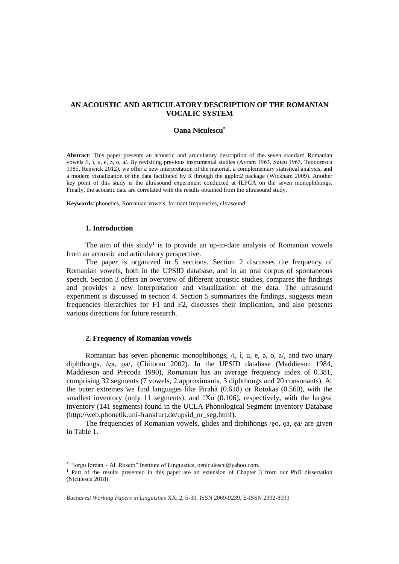# **AN ACOUSTIC AND ARTICULATORY DESCRIPTION OF THE ROMANIAN VOCALIC SYSTEM**

### **Oana Niculescu\***

**Abstract**: This paper presents an acoustic and articulatory description of the seven standard Romanian vowels /i, ɨ, u, e, ə, o, a/. By revisiting previous instrumental studies (Avram 1963, Şuteu 1963, Teodorescu 1985, Renwick 2012), we offer a new interpretation of the material, a complementary statistical analysis, and a modern visualization of the data facilitated by R through the ggplot2 package (Wickham 2009). Another key point of this study is the ultrasound experiment conducted at ILPGA on the seven monophthongs. Finally, the acoustic data are correlated with the results obtained from the ultrasound study.

**Keywords**: phonetics, Romanian vowels, formant frequencies, ultrasound

## **1. Introduction**

 $\overline{a}$ 

The aim of this study<sup>1</sup> is to provide an up-to-date analysis of Romanian vowels from an acoustic and articulatory perspective.

The paper is organized in 5 sections. Section 2 discusses the frequency of Romanian vowels, both in the UPSID database, and in an oral corpus of spontaneous speech. Section 3 offers an overview of different acoustic studies, compares the findings and provides a new interpretation and visualization of the data. The ultrasound experiment is discussed in section 4. Section 5 summarizes the findings, suggests mean frequencies hierarchies for F1 and F2, discusses their implication, and also presents various directions for future research.

#### **2. Frequency of Romanian vowels**

Romanian has seven phonemic monophthongs, /i, ɨ, u, e, ə, o, a/, and two unary diphthongs, /ea, oa/, (Chitoran 2002). In the UPSID database (Maddieson 1984, Maddieson and Precoda 1990), Romanian has an average frequency index of 0.381, comprising 32 segments (7 vowels, 2 approximants, 3 diphthongs and 20 consonants). At the outer extremes we find languages like Pirahã (0.618) or Rotokas (0.560), with the smallest inventory (only 11 segments), and !Xu (0.106), respectively, with the largest inventory (141 segments) found in the UCLA Phonological Segment Inventory Database [\(http://web.phonetik.uni-frankfurt.de/upsid\\_nr\\_seg.html\)](http://web.phonetik.uni-frankfurt.de/upsid_nr_seg.html).

The frequencies of Romanian vowels, glides and diphthongs /eo, oa, ea/ are given in Table 1.

<sup>\*</sup> "Iorgu Iordan – Al. Rosetti" Institute of Linguistics[, oeniculescu@yahoo.com.](mailto:oeniculescu@yahoo.com)

<sup>1</sup> Part of the results presented in this paper are an extension of Chapter 3 from our PhD dissertation (Niculescu 2018).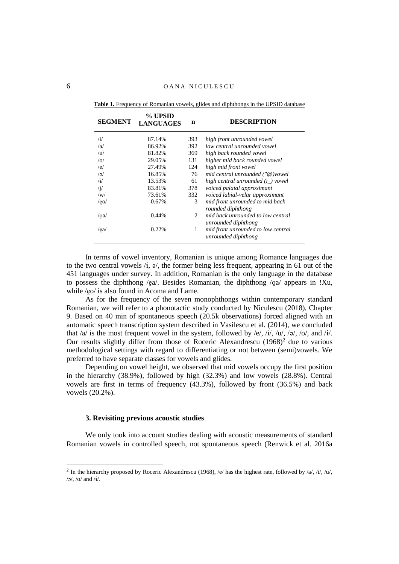| Table 1. Frequency of Romanian vowels, glides and diphthongs in the UPSID database |  |  |
|------------------------------------------------------------------------------------|--|--|
|                                                                                    |  |  |

| <b>SEGMENT</b> | % UPSID<br>n<br><b>LANGUAGES</b> |     | <b>DESCRIPTION</b>                                        |
|----------------|----------------------------------|-----|-----------------------------------------------------------|
| /i/            | 87.14%                           | 393 | high front unrounded vowel                                |
| /a             | 86.92%                           | 392 | low central unrounded vowel                               |
| /u/            | 81.82%                           | 369 | high back rounded vowel                                   |
| o              | 29.05%                           | 131 | higher mid back rounded vowel                             |
| /e/            | 27.49%                           | 124 | high mid front vowel                                      |
| $\sqrt{9/2}$   | 16.85%                           | 76  | mid central unrounded ("@)vowel                           |
| $/$ i $/$      | 13.53%                           | 61  | high central unrounded $(i_$ ) vowel                      |
| $\sqrt{1}$     | 83.81%                           | 378 | voiced palatal approximant                                |
| /w/            | 73.61%                           | 332 | voiced labial-velar approximant                           |
| /eo/           | 0.67%                            | 3   | mid front unrounded to mid back<br>rounded diphthong      |
| $\alpha$       | 0.44%                            | 2   | mid back unrounded to low central<br>unrounded diphthong  |
| /ea/           | 0.22%                            | 1   | mid front unrounded to low central<br>unrounded diphthong |

In terms of vowel inventory, Romanian is unique among Romance languages due to the two central vowels  $\lambda$ ,  $\phi$ , the former being less frequent, appearing in 61 out of the 451 languages under survey. In addition, Romanian is the only language in the database to possess the diphthong /ea/. Besides Romanian, the diphthong /oa/ appears in !Xu, while /eo/ is also found in Acoma and Lame.

As for the frequency of the seven monophthongs within contemporary standard Romanian, we will refer to a phonotactic study conducted by Niculescu (2018), Chapter 9. Based on 40 min of spontaneous speech (20.5k observations) forced aligned with an automatic speech transcription system described in Vasilescu et al. (2014), we concluded that  $/a$  is the most frequent vowel in the system, followed by  $/e$ ,  $/i$ ,  $/u$ ,  $/\phi$ ,  $/\phi$ , and  $/i$ . Our results slightly differ from those of Roceric Alexandrescu  $(1968)^2$  due to various methodological settings with regard to differentiating or not between (semi)vowels. We preferred to have separate classes for vowels and glides.

Depending on vowel height, we observed that mid vowels occupy the first position in the hierarchy (38.9%), followed by high (32.3%) and low vowels (28.8%). Central vowels are first in terms of frequency (43.3%), followed by front (36.5%) and back vowels (20.2%).

# **3. Revisiting previous acoustic studies**

We only took into account studies dealing with acoustic measurements of standard Romanian vowels in controlled speech, not spontaneous speech (Renwick et al. 2016a

 $\overline{a}$ 

<sup>&</sup>lt;sup>2</sup> In the hierarchy proposed by Roceric Alexandrescu (1968), /e/ has the highest rate, followed by /a/, /i/, /u/,  $/$ ə $/$ ,  $/$ o $/$  and  $/$ i $/$ .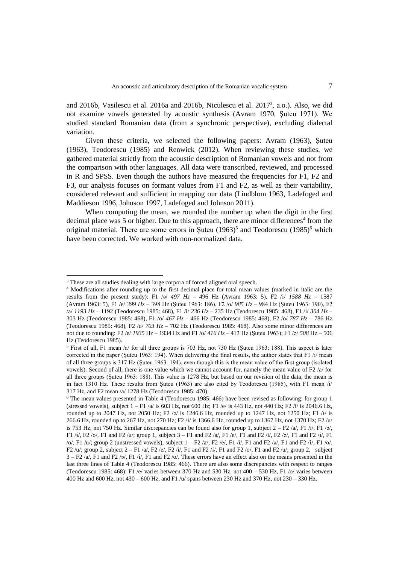and 2016b, Vasilescu et al. 2016a and 2016b, Niculescu et al. 2017<sup>3</sup> , a.o.). Also, we did not examine vowels generated by acoustic synthesis (Avram 1970, Şuteu 1971). We studied standard Romanian data (from a synchronic perspective), excluding dialectal variation.

Given these criteria, we selected the following papers: Avram (1963), Şuteu (1963), Teodorescu (1985) and Renwick (2012). When reviewing these studies, we gathered material strictly from the acoustic description of Romanian vowels and not from the comparison with other languages. All data were transcribed, reviewed, and processed in R and SPSS. Even though the authors have measured the frequencies for F1, F2 and F3, our analysis focuses on formant values from F1 and F2, as well as their variability, considered relevant and sufficient in mapping our data (Lindblom 1963, Ladefoged and Maddieson 1996, Johnson 1997, Ladefoged and Johnson 2011).

When computing the mean, we rounded the number up when the digit in the first decimal place was 5 or higher. Due to this approach, there are minor differences<sup>4</sup> from the original material. There are some errors in Şuteu  $(1963)^5$  and Teodorescu  $(1985)^6$  which have been corrected. We worked with non-normalized data.

 $\overline{a}$ 

<sup>&</sup>lt;sup>3</sup> These are all studies dealing with large corpora of forced aligned oral speech.

<sup>4</sup> Modifications after rounding up to the first decimal place for total mean values (marked in italic are the results from the present study): F1 /ə/ *497 Hz* – 496 Hz (Avram 1963: 5), F2 /ɨ/ *1588 Hz* – 1587 (Avram 1963: 5), F1 /e/ *399 Hz* – 398 Hz (Şuteu 1963: 186), F2 /o/ *985 Hz* – 984 Hz (Şuteu 1963: 190), F2 /a/ *1193 Hz* – 1192 (Teodorescu 1985: 468), F1 /i/ *236 Hz* – 235 Hz (Teodorescu 1985: 468), F1 /ɨ/ *304 Hz* – 303 Hz (Teodorescu 1985: 468), F1 /o/ *467 Hz* – 466 Hz (Teodorescu 1985: 468), F2 /o/ *787 Hz* – 786 Hz (Teodorescu 1985: 468), F2 /u/ *703 Hz* – 702 Hz (Teodorescu 1985: 468). Also some minor differences are not due to rounding: F2 /e/ *1935* Hz – 1934 Hz and F1 /o/ *416 Hz* – 413 Hz (Şuteu 1963); F1 /ə/ *508* Hz – 506 Hz (Teodorescu 1985).

<sup>5</sup> First of all, F1 mean /a/ for all three groups is 703 Hz, not 730 Hz (Şuteu 1963: 188). This aspect is later corrected in the paper (Şuteu 1963: 194). When delivering the final results, the author states that F1 /i/ mean of all three groups is 317 Hz (Şuteu 1963: 194), even though this is the mean value of the first group (isolated vowels). Second of all, there is one value which we cannot account for, namely the mean value of F2 /a/ for all three groups (Şuteu 1963: 188). This value is 1278 Hz, but based on our revision of the data, the mean is in fact 1310 Hz. These results from Şuteu (1963) are also cited by Teodorescu (1985), with F1 mean /i/ 317 Hz, and F2 mean /a/ 1278 Hz (Teodorescu 1985: 470).

 $6$  The mean values presented in Table 4 (Teodorescu 1985: 466) have been revised as following: for group 1 (stressed vowels), subject  $1 - F1/a$  is 603 Hz, not 600 Hz; F1 /e/ is 443 Hz, not 440 Hz; F2 /i/ is 2046.6 Hz, rounded up to 2047 Hz, not 2050 Hz; F2 /ə/ is 1246.6 Hz, rounded up to 1247 Hz, not 1250 Hz; F1 /i/ is 266.6 Hz, rounded up to 267 Hz, not 270 Hz; F2 /i/ is 1366.6 Hz, rounded up to 1367 Hz, not 1370 Hz; F2 /u/ is 753 Hz, not 750 Hz. Similar discrepancies can be found also for group 1, subject  $2 - F2/a$ , F1 /i/, F1 /ə/, F1 /i/, F2 /o/, F1 and F2 /u/; group 1, subject  $3 - F1$  and F2 /a/, F1 /e/, F1 and F2 /i/, F2 /ə/, F1 and F2 /i/, F1  $/o$ , F1 /u/; group 2 (unstressed vowels), subject  $1 - F2$  /a/,  $F2$  /e/,  $F1$  /i/,  $F1$  and  $F2$  /ə/,  $F1$  and  $F2$  /ɨ/,  $F1$  /o/, F2 /u/; group 2, subject  $2 - F1$  /a/, F2 /e/, F2 /i/, F1 and F2 /i/, F1 and F2 /o/, F1 and F2 /u/; group 2, subject  $3 - F2/a$ , F1 and F2 /ə/, F1 /ɨ/, F1 and F2 /o/. These errors have an effect also on the means presented in the last three lines of Table 4 (Teodorescu 1985: 466). There are also some discrepancies with respect to ranges (Teodorescu 1985: 468): F1 /e/ varies between 370 Hz and 530 Hz, not 400 – 530 Hz, F1 /o/ varies between 400 Hz and 600 Hz, not 430 – 600 Hz, and F1 /u/ spans between 230 Hz and 370 Hz, not 230 – 330 Hz.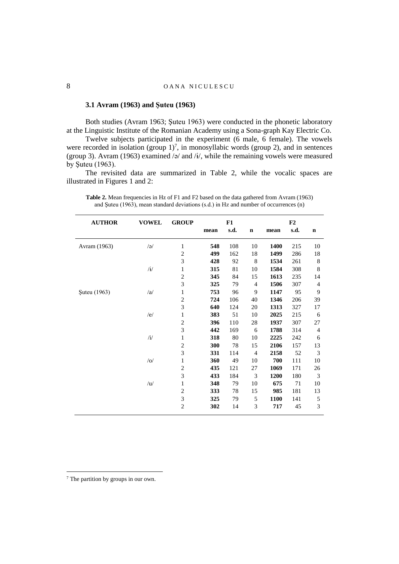### **3.1 Avram (1963) and Şuteu (1963)**

Both studies (Avram 1963; Şuteu 1963) were conducted in the phonetic laboratory at the Linguistic Institute of the Romanian Academy using a Sona-graph Kay Electric Co.

Twelve subjects participated in the experiment (6 male, 6 female). The vowels were recorded in isolation (group  $1$ )<sup>7</sup>, in monosyllabic words (group 2), and in sentences (group 3). Avram (1963) examined /ə/ and / $\frac{i}{r}$ , while the remaining vowels were measured by Şuteu (1963).

The revisited data are summarized in Table 2, while the vocalic spaces are illustrated in Figures 1 and 2:

| <b>AUTHOR</b> | <b>VOWEL</b>   | <b>GROUP</b>            |      | F1   |                |      | F2   |             |
|---------------|----------------|-------------------------|------|------|----------------|------|------|-------------|
|               |                |                         | mean | s.d. | $\mathbf n$    | mean | s.d. | $\mathbf n$ |
| Avram (1963)  | /a/            | $\mathbf{1}$            | 548  | 108  | 10             | 1400 | 215  | 10          |
|               |                | $\sqrt{2}$              | 499  | 162  | 18             | 1499 | 286  | 18          |
|               |                | $\mathfrak{Z}$          | 428  | 92   | 8              | 1534 | 261  | 8           |
|               | $\mathbf{H}$   | $\mathbf{1}$            | 315  | 81   | 10             | 1584 | 308  | 8           |
|               |                | $\overline{c}$          | 345  | 84   | 15             | 1613 | 235  | 14          |
|               |                | 3                       | 325  | 79   | 4              | 1506 | 307  | 4           |
| Şuteu (1963)  | /a             | $\mathbf{1}$            | 753  | 96   | 9              | 1147 | 95   | 9           |
|               |                | $\boldsymbol{2}$        | 724  | 106  | 40             | 1346 | 206  | 39          |
|               |                | 3                       | 640  | 124  | 20             | 1313 | 327  | 17          |
|               | /e/            | $\mathbf{1}$            | 383  | 51   | 10             | 2025 | 215  | 6           |
|               |                | $\overline{c}$          | 396  | 110  | 28             | 1937 | 307  | 27          |
|               |                | 3                       | 442  | 169  | 6              | 1788 | 314  | 4           |
|               | $/\mathrm{i}/$ | $\mathbf{1}$            | 318  | 80   | 10             | 2225 | 242  | 6           |
|               |                | $\overline{\mathbf{c}}$ | 300  | 78   | 15             | 2106 | 157  | 13          |
|               |                | 3                       | 331  | 114  | $\overline{4}$ | 2158 | 52   | 3           |
|               | / o/           | $\mathbf{1}$            | 360  | 49   | 10             | 700  | 111  | 10          |
|               |                | $\overline{c}$          | 435  | 121  | 27             | 1069 | 171  | 26          |
|               |                | 3                       | 433  | 184  | 3              | 1200 | 180  | 3           |
|               | /u/            | $\mathbf{1}$            | 348  | 79   | 10             | 675  | 71   | 10          |
|               |                | $\overline{c}$          | 333  | 78   | 15             | 985  | 181  | 13          |
|               |                | $\mathfrak{Z}$          | 325  | 79   | 5              | 1100 | 141  | 5           |
|               |                | $\overline{c}$          | 302  | 14   | 3              | 717  | 45   | 3           |

**Table 2.** Mean frequencies in Hz of F1 and F2 based on the data gathered from Avram (1963) and Şuteu (1963), mean standard deviations (s.d.) in Hz and number of occurrences (n)

 $\overline{a}$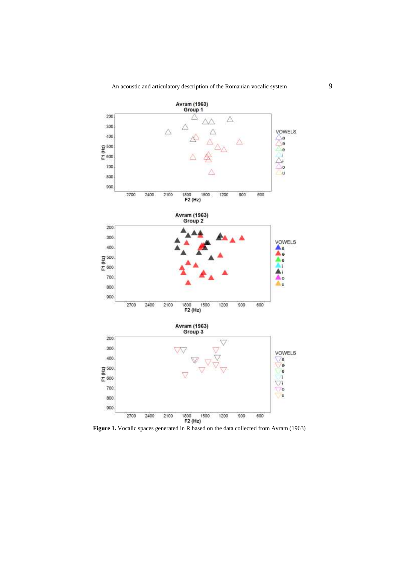

Figure 1. Vocalic spaces generated in R based on the data collected from Avram (1963)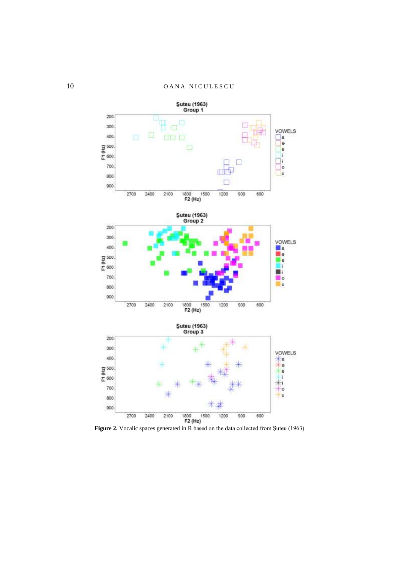

Figure 2. Vocalic spaces generated in R based on the data collected from Şuteu (1963)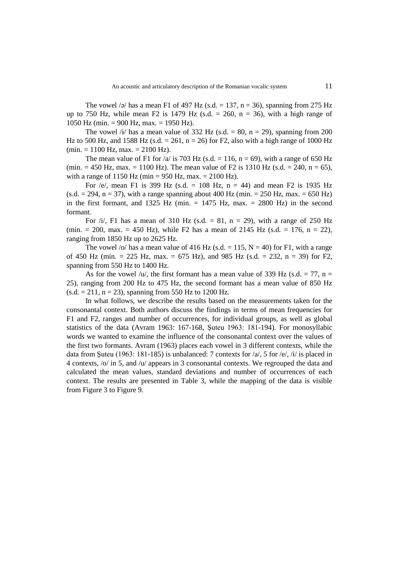The vowel /ə/ has a mean F1 of 497 Hz (s.d. = 137, n = 36), spanning from 275 Hz up to 750 Hz, while mean F2 is 1479 Hz  $(s.d. = 260, n = 36)$ , with a high range of 1050 Hz (min. = 900 Hz, max. = 1950 Hz).

The vowel /i/ has a mean value of 332 Hz (s.d.  $= 80$ ,  $n = 29$ ), spanning from 200 Hz to 500 Hz, and 1588 Hz (s.d. = 261, n = 26) for F2, also with a high range of 1000 Hz  $(\text{min.} = 1100 \text{ Hz}, \text{max.} = 2100 \text{ Hz}).$ 

The mean value of F1 for  $\sqrt{a}$  is 703 Hz (s.d. = 116, n = 69), with a range of 650 Hz (min.  $= 450$  Hz, max.  $= 1100$  Hz). The mean value of F2 is 1310 Hz (s.d.  $= 240$ , n  $= 65$ ), with a range of 1150 Hz (min = 950 Hz, max. = 2100 Hz).

For /e/, mean F1 is 399 Hz (s.d. = 108 Hz,  $n = 44$ ) and mean F2 is 1935 Hz  $(s.d. = 294, n = 37)$ , with a range spanning about 400 Hz (min. = 250 Hz, max. = 650 Hz) in the first formant, and 1325 Hz (min.  $= 1475$  Hz, max.  $= 2800$  Hz) in the second formant.

For  $\pi/1$ , F1 has a mean of 310 Hz (s.d. = 81, n = 29), with a range of 250 Hz (min. = 200, max. = 450 Hz), while F2 has a mean of 2145 Hz (s.d. = 176, n = 22), ranging from 1850 Hz up to 2625 Hz.

The vowel /o/ has a mean value of 416 Hz (s.d.  $= 115$ , N = 40) for F1, with a range of 450 Hz (min. = 225 Hz, max. = 675 Hz), and 985 Hz (s.d. = 232, n = 39) for F2, spanning from 550 Hz to 1400 Hz.

As for the vowel /u/, the first formant has a mean value of 339 Hz (s.d.  $= 77$ , n = 25), ranging from 200 Hz to 475 Hz, the second formant has a mean value of 850 Hz  $(s.d. = 211, n = 23)$ , spanning from 550 Hz to 1200 Hz.

In what follows, we describe the results based on the measurements taken for the consonantal context. Both authors discuss the findings in terms of mean frequencies for F1 and F2, ranges and number of occurrences, for individual groups, as well as global statistics of the data (Avram 1963: 167-168, Şuteu 1963: 181-194). For monosyllabic words we wanted to examine the influence of the consonantal context over the values of the first two formants. Avram (1963) places each vowel in 3 different contexts, while the data from Suteu (1963: 181-185) is unbalanced: 7 contexts for  $\alpha/2$ , 5 for  $\alpha/2$ ,  $\alpha/4$  is placed in 4 contexts, /o/ in 5, and /u/ appears in 3 consonantal contexts. We regrouped the data and calculated the mean values, standard deviations and number of occurrences of each context. The results are presented in Table 3, while the mapping of the data is visible from Figure 3 to Figure 9.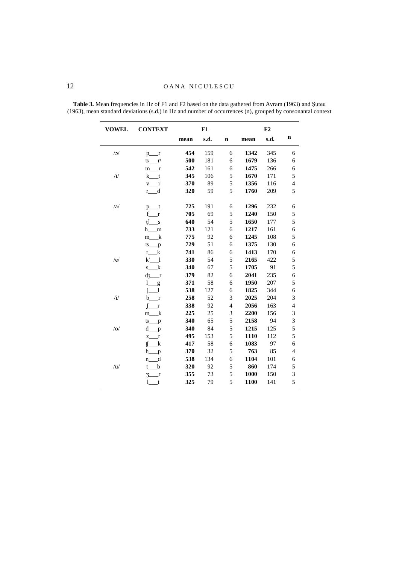| <b>VOWEL</b> | <b>CONTEXT</b>                   |      | F1   |                |      | F2   |                          |
|--------------|----------------------------------|------|------|----------------|------|------|--------------------------|
|              |                                  | mean | s.d. | $\mathbf n$    | mean | s.d. | n                        |
| /a           | $\mathbf{r}$<br>$p_{-}$          | 454  | 159  | 6              | 1342 | 345  | 6                        |
|              | $r^{i}$<br>ſs.                   | 500  | 181  | 6              | 1679 | 136  | 6                        |
|              | m<br>$\Gamma$                    | 542  | 161  | 6              | 1475 | 266  | 6                        |
| $\mathbf{H}$ | k t                              | 345  | 106  | 5              | 1670 | 171  | 5                        |
|              | $v_{r}$                          | 370  | 89   | 5              | 1356 | 116  | $\overline{4}$           |
|              | r d                              | 320  | 59   | 5              | 1760 | 209  | 5                        |
| /a           | $p_{-}$ t                        | 725  | 191  | 6              | 1296 | 232  | 6                        |
|              | f<br>$\mathbf{r}$                | 705  | 69   | 5              | 1240 | 150  | 5                        |
|              | tſ.<br>$\overline{\mathbf{s}}$   | 640  | 54   | 5              | 1650 | 177  | 5                        |
|              | h m                              | 733  | 121  | 6              | 1217 | 161  | 6                        |
|              | $m_k$                            | 775  | 92   | 6              | 1245 | 108  | 5                        |
|              | ts_<br>p                         | 729  | 51   | 6              | 1375 | 130  | 6                        |
|              | $r_k$                            | 741  | 86   | 6              | 1413 | 170  | 6                        |
| /e/          | k'<br>-1                         | 330  | 54   | 5              | 2165 | 422  | 5                        |
|              | $s_{k}$                          | 340  | 67   | 5              | 1705 | 91   | 5                        |
|              | $\frac{d}{x}$ r                  | 379  | 82   | 6              | 2041 | 235  | 6                        |
|              | l.<br>$\overline{\phantom{a}}^g$ | 371  | 58   | 6              | 1950 | 207  | 5                        |
|              | $\overline{1}$                   | 538  | 127  | 6              | 1825 | 344  | 6                        |
| /i/          | $\mathbf{r}$<br>b                | 258  | 52   | 3              | 2025 | 204  | 3                        |
|              | $\mathbf{r}$                     | 338  | 92   | $\overline{4}$ | 2056 | 163  | $\overline{\mathcal{L}}$ |
|              | k<br>m                           | 225  | 25   | 3              | 2200 | 156  | 3                        |
|              | $ts$ $p$                         | 340  | 65   | 5              | 2158 | 94   | 3                        |
| / o/         | $d$ <sub>p</sub>                 | 340  | 84   | 5              | 1215 | 125  | 5                        |
|              | Z.<br>$\Gamma$                   | 495  | 153  | 5              | 1110 | 112  | 5                        |
|              | tſ<br>k                          | 417  | 58   | $\sqrt{6}$     | 1083 | 97   | 6                        |
|              | $h$ <sub>___</sub> p             | 370  | 32   | 5              | 763  | 85   | $\overline{4}$           |
|              | n d                              | 538  | 134  | 6              | 1104 | 101  | 6                        |
| /u/          | t b                              | 320  | 92   | 5              | 860  | 174  | 5                        |
|              | $3-r$                            | 355  | 73   | 5              | 1000 | 150  | 3                        |
|              | $1-t$                            | 325  | 79   | 5              | 1100 | 141  | 5                        |

**Table 3.** Mean frequencies in Hz of F1 and F2 based on the data gathered from Avram (1963) and Şuteu (1963), mean standard deviations (s.d.) in Hz and number of occurrences (n), grouped by consonantal context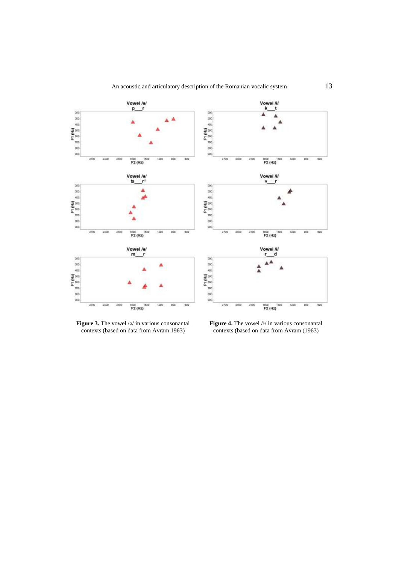

**Figure 3.** The vowel /ə/ in various consonantal contexts (based on data from Avram 1963)

**Figure 4.** The vowel /ɨ/ in various consonantal contexts (based on data from Avram (1963)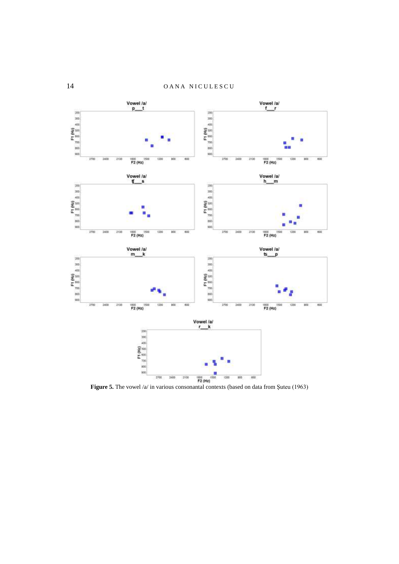

Figure 5. The vowel /a/ in various consonantal contexts (based on data from Şuteu (1963)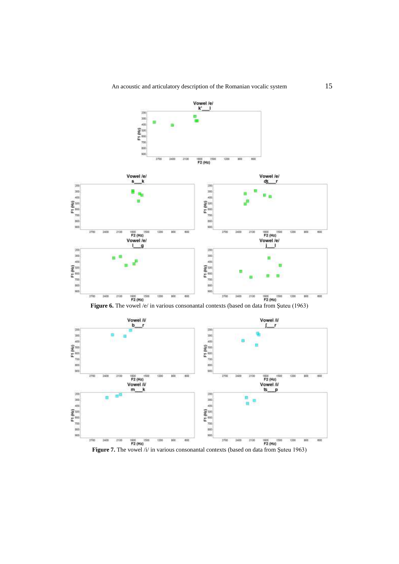

Figure 7. The vowel /i/ in various consonantal contexts (based on data from Şuteu 1963)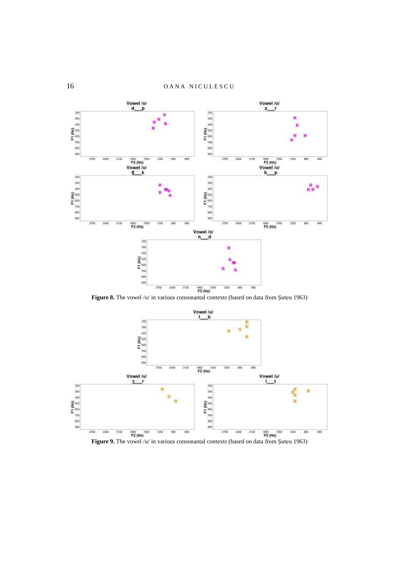

Figure 8. The vowel /o/ in various consonantal contexts (based on data from Şuteu 1963)



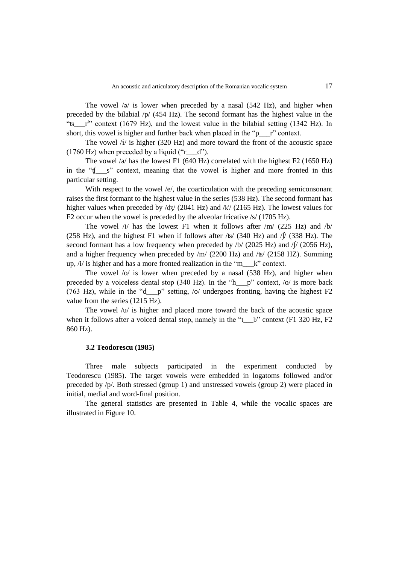The vowel  $\sqrt{a}$  is lower when preceded by a nasal (542 Hz), and higher when preceded by the bilabial  $/p/(454 \text{ Hz})$ . The second formant has the highest value in the "ts\_r<sup>i</sup>" context (1679 Hz), and the lowest value in the bilabial setting (1342 Hz). In short, this vowel is higher and further back when placed in the "p $\bar{r}$ " context.

The vowel /ɨ/ is higher (320 Hz) and more toward the front of the acoustic space  $(1760 \text{ Hz})$  when preceded by a liquid ("r\_d").

The vowel  $\alpha$  has the lowest F1 (640 Hz) correlated with the highest F2 (1650 Hz) in the "ʧ\_\_\_s" context, meaning that the vowel is higher and more fronted in this particular setting.

With respect to the vowel  $/e$ , the coarticulation with the preceding semiconsonant raises the first formant to the highest value in the series (538 Hz). The second formant has higher values when preceded by  $\sqrt{dy}$  (2041 Hz) and  $\sqrt{k}$  (2165 Hz). The lowest values for F2 occur when the vowel is preceded by the alveolar fricative /s/ (1705 Hz).

The vowel /i/ has the lowest F1 when it follows after  $/m/$  (225 Hz) and /b/ (258 Hz), and the highest F1 when if follows after  $\sqrt{5}$  (340 Hz) and  $\sqrt{7}$  (338 Hz). The second formant has a low frequency when preceded by  $/b/$  (2025 Hz) and  $/$  (2056 Hz), and a higher frequency when preceded by  $/m/$  (2200 Hz) and  $\sqrt{6}$  (2158 HZ). Summing up, /i/ is higher and has a more fronted realization in the "m\_\_\_k" context.

The vowel /o/ is lower when preceded by a nasal (538 Hz), and higher when preceded by a voiceless dental stop (340 Hz). In the "h\_\_p" context,  $\frac{1}{2}$  is more back (763 Hz), while in the "d\_\_\_p" setting, /o/ undergoes fronting, having the highest F2 value from the series (1215 Hz).

The vowel  $/u$  is higher and placed more toward the back of the acoustic space when it follows after a voiced dental stop, namely in the "t\_\_b" context (F1 320 Hz, F2 860 Hz).

### **3.2 Teodorescu (1985)**

Three male subjects participated in the experiment conducted by Teodorescu (1985). The target vowels were embedded in logatoms followed and/or preceded by /p/. Both stressed (group 1) and unstressed vowels (group 2) were placed in initial, medial and word-final position.

The general statistics are presented in Table 4, while the vocalic spaces are illustrated in Figure 10.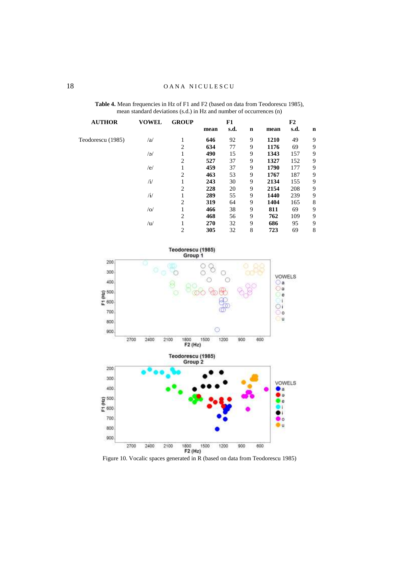| <b>AUTHOR</b>     | <b>VOWEL</b> | <b>GROUP</b>   | F1   |      |             | F2   |      |             |  |
|-------------------|--------------|----------------|------|------|-------------|------|------|-------------|--|
|                   |              |                | mean | s.d. | $\mathbf n$ | mean | s.d. | $\mathbf n$ |  |
| Teodorescu (1985) | /a           | 1              | 646  | 92   | 9           | 1210 | 49   | 9           |  |
|                   |              | $\overline{2}$ | 634  | 77   | 9           | 1176 | 69   | 9           |  |
|                   | /a           | 1              | 490  | 15   | 9           | 1343 | 157  | 9           |  |
|                   |              | $\overline{2}$ | 527  | 37   | 9           | 1327 | 152  | 9           |  |
|                   | /e/          |                | 459  | 37   | 9           | 1790 | 177  | 9           |  |
|                   |              | $\overline{2}$ | 463  | 53   | 9           | 1767 | 187  | 9           |  |
|                   | /i/          | 1              | 243  | 30   | 9           | 2134 | 155  | 9           |  |
|                   |              | $\overline{2}$ | 228  | 20   | 9           | 2154 | 208  | 9           |  |
|                   | $/$ i/       |                | 289  | 55   | 9           | 1440 | 239  | 9           |  |
|                   |              | $\overline{2}$ | 319  | 64   | 9           | 1404 | 165  | 8           |  |
|                   | /0/          | 1              | 466  | 38   | 9           | 811  | 69   | 9           |  |
|                   |              | $\overline{2}$ | 468  | 56   | 9           | 762  | 109  | 9           |  |
|                   | /u/          | 1              | 270  | 32   | 9           | 686  | 95   | 9           |  |
|                   |              | $\overline{2}$ | 305  | 32   | 8           | 723  | 69   | 8           |  |

**Table 4.** Mean frequencies in Hz of F1 and F2 (based on data from Teodorescu 1985), mean standard deviations (s.d.) in Hz and number of occurrences (n)



Figure 10. Vocalic spaces generated in R (based on data from Teodorescu 1985)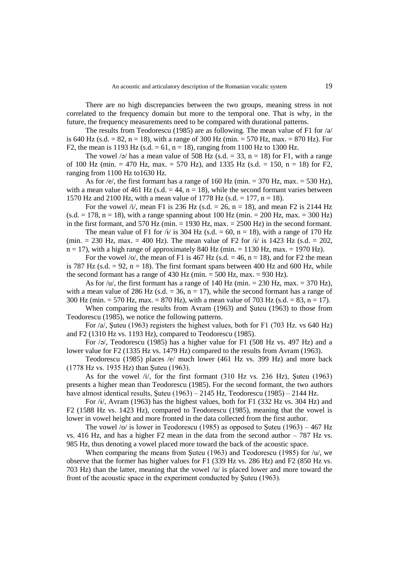There are no high discrepancies between the two groups, meaning stress in not correlated to the frequency domain but more to the temporal one. That is why, in the future, the frequency measurements need to be compared with durational patterns.

The results from Teodorescu (1985) are as following. The mean value of F1 for /a/ is 640 Hz (s.d.  $= 82$ , n  $= 18$ ), with a range of 300 Hz (min.  $= 570$  Hz, max.  $= 870$  Hz). For F2, the mean is 1193 Hz (s.d. = 61, n = 18), ranging from 1100 Hz to 1300 Hz.

The vowel /ə/ has a mean value of 508 Hz (s.d.  $=$  33, n = 18) for F1, with a range of 100 Hz (min. = 470 Hz, max. = 570 Hz), and 1335 Hz (s.d. = 150, n = 18) for F2, ranging from 1100 Hz to1630 Hz.

As for /e/, the first formant has a range of 160 Hz (min.  $= 370$  Hz, max.  $= 530$  Hz), with a mean value of 461 Hz (s.d.  $=$  44, n = 18), while the second formant varies between 1570 Hz and 2100 Hz, with a mean value of 1778 Hz (s.d. = 177, n = 18).

For the vowel /i/, mean F1 is 236 Hz (s.d. = 26, n = 18), and mean F2 is 2144 Hz  $(s.d. = 178, n = 18)$ , with a range spanning about 100 Hz (min. = 200 Hz, max. = 300 Hz) in the first formant, and 570 Hz (min.  $= 1930$  Hz, max.  $= 2500$  Hz) in the second formant.

The mean value of F1 for /i/ is 304 Hz (s.d. = 60, n = 18), with a range of 170 Hz (min. = 230 Hz, max. = 400 Hz). The mean value of F2 for  $\hat{H}$  is 1423 Hz (s.d. = 202,  $n = 17$ , with a high range of approximately 840 Hz (min.  $= 1130$  Hz, max.  $= 1970$  Hz).

For the vowel /o/, the mean of F1 is 467 Hz (s.d.  $=$  46, n = 18), and for F2 the mean is 787 Hz (s.d.  $= 92$ , n  $= 18$ ). The first formant spans between 400 Hz and 600 Hz, while the second formant has a range of  $430$  Hz (min. =  $500$  Hz, max. =  $930$  Hz).

As for  $/u'$ , the first formant has a range of 140 Hz (min. = 230 Hz, max. = 370 Hz), with a mean value of 286 Hz (s.d.  $=$  36, n = 17), while the second formant has a range of 300 Hz (min. = 570 Hz, max. = 870 Hz), with a mean value of 703 Hz (s.d. = 83, n = 17).

When comparing the results from Avram (1963) and Şuteu (1963) to those from Teodorescu (1985), we notice the following patterns.

For /a/, Şuteu (1963) registers the highest values, both for F1 (703 Hz. vs 640 Hz) and F2 (1310 Hz vs. 1193 Hz), compared to Teodorescu (1985).

For /ə/, Teodorescu (1985) has a higher value for F1 (508 Hz vs. 497 Hz) and a lower value for F2 (1335 Hz vs. 1479 Hz) compared to the results from Avram (1963).

Teodorescu (1985) places /e/ much lower (461 Hz vs. 399 Hz) and more back (1778 Hz vs. 1935 Hz) than Şuteu (1963).

As for the vowel  $/i$ , for the first formant  $(310 \text{ Hz} \text{ vs. } 236 \text{ Hz})$ , Suteu  $(1963)$ presents a higher mean than Teodorescu (1985). For the second formant, the two authors have almost identical results, Suteu (1963) – 2145 Hz, Teodorescu (1985) – 2144 Hz.

For  $\frac{i}{\sqrt{4}}$ , Avram (1963) has the highest values, both for F1 (332 Hz vs. 304 Hz) and F2 (1588 Hz vs. 1423 Hz), compared to Teodorescu (1985), meaning that the vowel is lower in vowel height and more fronted in the data collected from the first author.

The vowel /o/ is lower in Teodorescu (1985) as opposed to Şuteu (1963) – 467 Hz vs. 416 Hz, and has a higher  $F2$  mean in the data from the second author  $-787$  Hz vs. 985 Hz, thus denoting a vowel placed more toward the back of the acoustic space.

When comparing the means from Suteu (1963) and Teodorescu (1985) for  $/u$ , we observe that the former has higher values for F1 (339 Hz vs. 286 Hz) and F2 (850 Hz vs. 703 Hz) than the latter, meaning that the vowel /u/ is placed lower and more toward the front of the acoustic space in the experiment conducted by Şuteu (1963).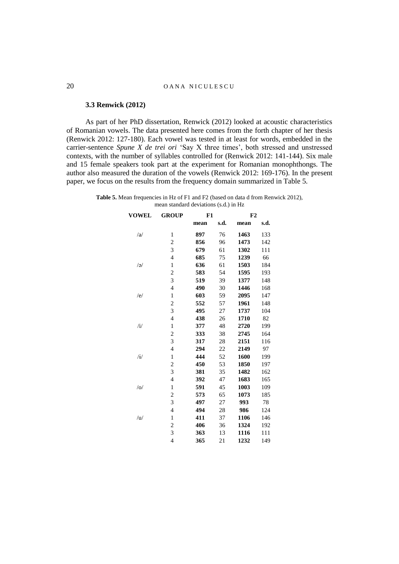# 20 OANA NICULESCU

#### **3.3 Renwick (2012)**

As part of her PhD dissertation, Renwick (2012) looked at acoustic characteristics of Romanian vowels. The data presented here comes from the forth chapter of her thesis (Renwick 2012: 127-180). Each vowel was tested in at least for words, embedded in the carrier-sentence *Spune X de trei ori* 'Say X three times', both stressed and unstressed contexts, with the number of syllables controlled for (Renwick 2012: 141-144). Six male and 15 female speakers took part at the experiment for Romanian monophthongs. The author also measured the duration of the vowels (Renwick 2012: 169-176). In the present paper, we focus on the results from the frequency domain summarized in Table 5.

**Table 5.** Mean frequencies in Hz of F1 and F2 (based on data d from Renwick 2012), mean standard deviations (s.d.) in Hz

| <b>VOWEL</b>          | <b>GROUP</b><br>F1 |      | F2   |      |      |
|-----------------------|--------------------|------|------|------|------|
|                       |                    | mean | s.d. | mean | s.d. |
| /a                    | $\mathbf{1}$       | 897  | 76   | 1463 | 133  |
|                       | $\overline{c}$     | 856  | 96   | 1473 | 142  |
|                       | 3                  | 679  | 61   | 1302 | 111  |
|                       | $\overline{4}$     | 685  | 75   | 1239 | 66   |
| $\sqrt{9/2}$          | $\mathbf{1}$       | 636  | 61   | 1503 | 184  |
|                       | $\overline{c}$     | 583  | 54   | 1595 | 193  |
|                       | 3                  | 519  | 39   | 1377 | 148  |
|                       | $\overline{4}$     | 490  | 30   | 1446 | 168  |
| /e/                   | $\mathbf{1}$       | 603  | 59   | 2095 | 147  |
|                       | $\overline{c}$     | 552  | 57   | 1961 | 148  |
|                       | 3                  | 495  | 27   | 1737 | 104  |
|                       | $\overline{4}$     | 438  | 26   | 1710 | 82   |
| /i/                   | $\mathbf{1}$       | 377  | 48   | 2720 | 199  |
|                       | $\overline{c}$     | 333  | 38   | 2745 | 164  |
|                       | 3                  | 317  | 28   | 2151 | 116  |
|                       | $\overline{4}$     | 294  | 22   | 2149 | 97   |
| $\mathbf{H}^{\prime}$ | $\,1$              | 444  | 52   | 1600 | 199  |
|                       | $\overline{c}$     | 450  | 53   | 1850 | 197  |
|                       | 3                  | 381  | 35   | 1482 | 162  |
|                       | $\overline{4}$     | 392  | 47   | 1683 | 165  |
| / o/                  | $\mathbf{1}$       | 591  | 45   | 1003 | 109  |
|                       | $\overline{c}$     | 573  | 65   | 1073 | 185  |
|                       | 3                  | 497  | 27   | 993  | 78   |
|                       | $\overline{4}$     | 494  | 28   | 986  | 124  |
| /u/                   | $\mathbf{1}$       | 411  | 37   | 1106 | 146  |
|                       | $\overline{c}$     | 406  | 36   | 1324 | 192  |
|                       | 3                  | 363  | 13   | 1116 | 111  |
|                       | $\overline{4}$     | 365  | 21   | 1232 | 149  |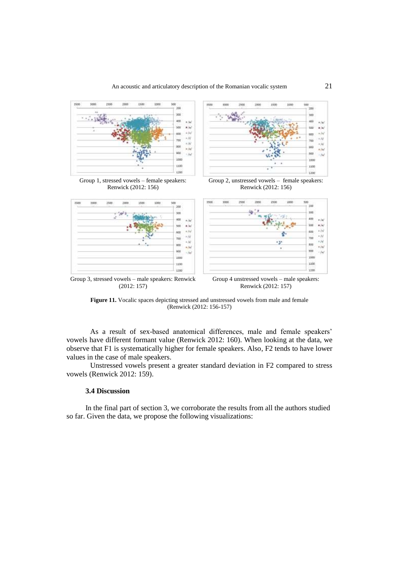

Figure 11. Vocalic spaces depicting stressed and unstressed vowels from male and female

(Renwick (2012: 156-157)

As a result of sex-based anatomical differences, male and female speakers' vowels have different formant value (Renwick 2012: 160). When looking at the data, we observe that F1 is systematically higher for female speakers. Also, F2 tends to have lower values in the case of male speakers.

Unstressed vowels present a greater standard deviation in F2 compared to stress vowels (Renwick 2012: 159).

#### **3.4 Discussion**

In the final part of section 3, we corroborate the results from all the authors studied so far. Given the data, we propose the following visualizations: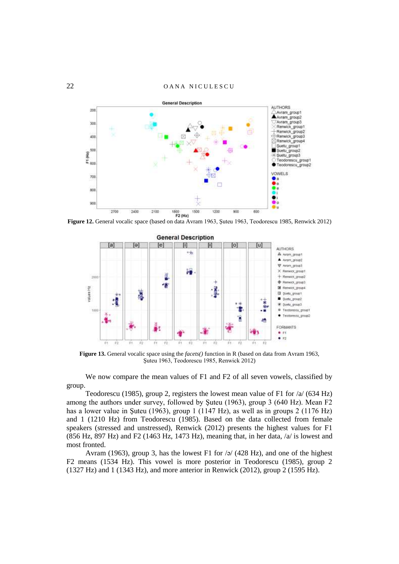22 OANA NICULESCU



**Figure 12.** General vocalic space (based on data Avram 1963, Şuteu 1963, Teodorescu 1985, Renwick 2012)



**Figure 13.** General vocalic space using the *facets()* function in R (based on data from Avram 1963, Şuteu 1963, Teodorescu 1985, Renwick 2012)

We now compare the mean values of F1 and F2 of all seven vowels, classified by group.

Teodorescu (1985), group 2, registers the lowest mean value of F1 for /a/ (634 Hz) among the authors under survey, followed by Şuteu (1963), group 3 (640 Hz). Mean F2 has a lower value in Şuteu (1963), group 1 (1147 Hz), as well as in groups 2 (1176 Hz) and 1 (1210 Hz) from Teodorescu (1985). Based on the data collected from female speakers (stressed and unstressed), Renwick (2012) presents the highest values for F1 (856 Hz, 897 Hz) and F2 (1463 Hz, 1473 Hz), meaning that, in her data,  $\alpha$  is lowest and most fronted.

Avram (1963), group 3, has the lowest F1 for  $\sqrt{q}$  (428 Hz), and one of the highest F2 means (1534 Hz). This vowel is more posterior in Teodorescu (1985), group 2 (1327 Hz) and 1 (1343 Hz), and more anterior in Renwick (2012), group 2 (1595 Hz).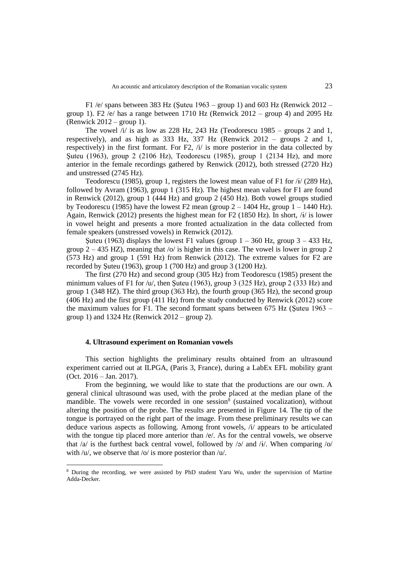F1 /e/ spans between 383 Hz (Suteu 1963 – group 1) and 603 Hz (Renwick 2012 – group 1). F2  $\overline{e}$  has a range between 1710 Hz (Renwick 2012 – group 4) and 2095 Hz  $(Renwick 2012 - group 1).$ 

The vowel  $\pi$  is as low as 228 Hz, 243 Hz (Teodorescu 1985 – groups 2 and 1, respectively), and as high as 333 Hz, 337 Hz (Renwick 2012 – groups 2 and 1, respectively) in the first formant. For F2, /i/ is more posterior in the data collected by Şuteu (1963), group 2 (2106 Hz), Teodorescu (1985), group 1 (2134 Hz), and more anterior in the female recordings gathered by Renwick (2012), both stressed (2720 Hz) and unstressed (2745 Hz).

Teodorescu (1985), group 1, registers the lowest mean value of F1 for /ɨ/ (289 Hz), followed by Avram (1963), group 1 (315 Hz). The highest mean values for F1 are found in Renwick (2012), group 1 (444 Hz) and group 2 (450 Hz). Both vowel groups studied by Teodorescu (1985) have the lowest F2 mean (group  $2 - 1404$  Hz, group  $1 - 1440$  Hz). Again, Renwick (2012) presents the highest mean for F2 (1850 Hz). In short,  $\frac{i}{r}$  is lower in vowel height and presents a more fronted actualization in the data collected from female speakers (unstressed vowels) in Renwick (2012).

Suteu (1963) displays the lowest F1 values (group  $1 - 360$  Hz, group  $3 - 433$  Hz, group  $2 - 435$  HZ), meaning that /o/ is higher in this case. The vowel is lower in group 2 (573 Hz) and group 1 (591 Hz) from Renwick (2012). The extreme values for F2 are recorded by Şuteu (1963), group 1 (700 Hz) and group 3 (1200 Hz).

The first (270 Hz) and second group (305 Hz) from Teodorescu (1985) present the minimum values of F1 for  $/u$ , then Suteu (1963), group 3 (325 Hz), group 2 (333 Hz) and group 1 (348 HZ). The third group (363 Hz), the fourth group (365 Hz), the second group (406 Hz) and the first group (411 Hz) from the study conducted by Renwick (2012) score the maximum values for F1. The second formant spans between  $675$  Hz (Suteu 1963 – group 1) and  $1324$  Hz (Renwick  $2012 -$  group 2).

#### **4. Ultrasound experiment on Romanian vowels**

 $\overline{a}$ 

This section highlights the preliminary results obtained from an ultrasound experiment carried out at ILPGA, (Paris 3, France), during a LabEx EFL mobility grant (Oct. 2016 – Jan. 2017).

From the beginning, we would like to state that the productions are our own. A general clinical ultrasound was used, with the probe placed at the median plane of the mandible. The vowels were recorded in one session<sup>8</sup> (sustained vocalization), without altering the position of the probe. The results are presented in Figure 14. The tip of the tongue is portrayed on the right part of the image. From these preliminary results we can deduce various aspects as following. Among front vowels, /i/ appears to be articulated with the tongue tip placed more anterior than /e/. As for the central vowels, we observe that  $\alpha$  is the furthest back central vowel, followed by  $\alpha$  and  $\alpha$ . When comparing  $\alpha$ with /u/, we observe that /o/ is more posterior than /u/.

<sup>8</sup> During the recording, we were assisted by PhD student Yaru Wu, under the supervision of Martine Adda-Decker.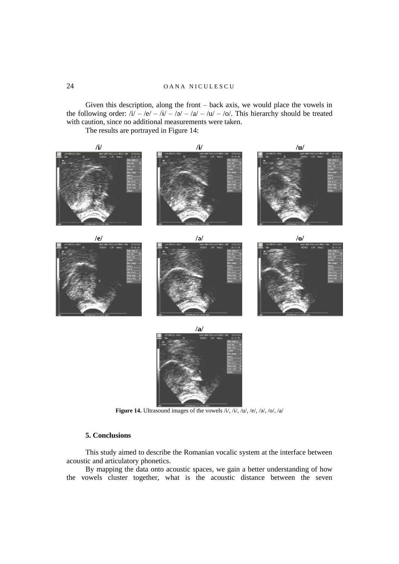Given this description, along the front – back axis, we would place the vowels in the following order:  $/i - |e| - 2i - |a| - |a| - |b|$ . This hierarchy should be treated with caution, since no additional measurements were taken.

The results are portrayed in Figure 14:



**Figure 14.** Ultrasound images of the vowels /i/, /ɨ/, /u/, /e/, /ə/, /o/, /a/

# **5. Conclusions**

This study aimed to describe the Romanian vocalic system at the interface between acoustic and articulatory phonetics.

By mapping the data onto acoustic spaces, we gain a better understanding of how the vowels cluster together, what is the acoustic distance between the seven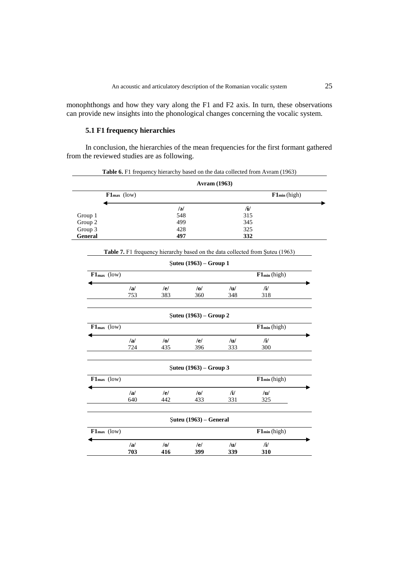monophthongs and how they vary along the F1 and F2 axis. In turn, these observations can provide new insights into the phonological changes concerning the vocalic system.

# **5.1 F1 frequency hierarchies**

In conclusion, the hierarchies of the mean frequencies for the first formant gathered from the reviewed studies are as following.

|                         |     | <b>Table 6.</b> F1 frequency hierarchy based on the data collected from Avram (1963) |  |
|-------------------------|-----|--------------------------------------------------------------------------------------|--|
|                         |     | <b>Avram</b> (1963)                                                                  |  |
| $F1_{\text{max}}$ (low) |     | $F1_{\min}$ (high)                                                                   |  |
|                         | /ə/ | /i/                                                                                  |  |
| Group 1                 | 548 | 315                                                                                  |  |
| Group 2                 | 499 | 345                                                                                  |  |
| Group 3                 | 428 | 325                                                                                  |  |
| <b>General</b>          | 497 | 332                                                                                  |  |

| <b>Table 7.</b> F1 frequency hierarchy based on the data collected from Suteu (1963) |  |
|--------------------------------------------------------------------------------------|--|
|--------------------------------------------------------------------------------------|--|

|                                  |     |                | Şuteu (1963) – Group 1                 |               |                   |  |
|----------------------------------|-----|----------------|----------------------------------------|---------------|-------------------|--|
| $F1_{max}$ (low)                 |     |                |                                        |               | $F1_{min}$ (high) |  |
|                                  | /a/ | /el            | $\overline{\omega}$                    | /u/           | $\mathbf{ii}$     |  |
|                                  | 753 | 383            | 360                                    | 348           | 318               |  |
|                                  |     |                | $\text{Suteu} (1963) - \text{Group 2}$ |               |                   |  |
| $F1_{\text{max}}$ (low)          |     |                |                                        |               | $F1_{min}$ (high) |  |
|                                  | a   | /0/            | /e/                                    | /u/           | $\mathbf{ii}$     |  |
|                                  | 724 | 435            | 396                                    | 333           | 300               |  |
|                                  |     |                | $\text{Suteu} (1963) - \text{Group} 3$ |               |                   |  |
| $F1_{max}$ (low)                 |     |                |                                        |               | $F1_{min}$ (high) |  |
|                                  | a   | /e/            | $\overline{a}$                         | $\mathbf{ii}$ | /u/               |  |
|                                  | 640 | 442            | 433                                    | 331           | 325               |  |
|                                  |     |                | $\text{Suteu} (1963) - \text{General}$ |               |                   |  |
| $\mathbf{F1}_{\text{max}}$ (low) |     |                |                                        |               | $F1_{min}$ (high) |  |
|                                  | /a/ | $\overline{a}$ | /el                                    | /u/           | $\mathbf{ii}$     |  |
|                                  | 703 | 416            | 399                                    | 339           | 310               |  |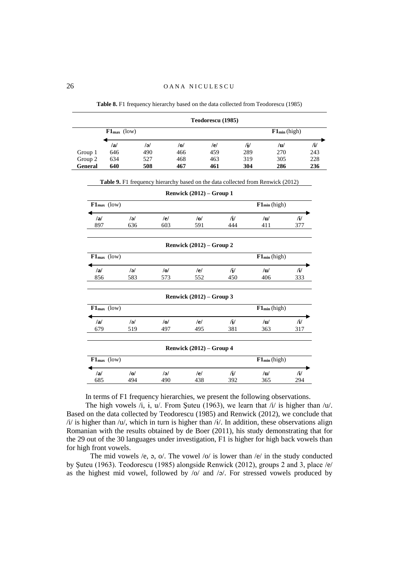|         |                  |                                                                                 |                            | Teodorescu (1985) |               |                   |                   |           |
|---------|------------------|---------------------------------------------------------------------------------|----------------------------|-------------------|---------------|-------------------|-------------------|-----------|
|         | $F1_{max}$ (low) |                                                                                 |                            |                   |               |                   | $F1_{min}$ (high) |           |
|         | /a/              | /a                                                                              | /0/                        | /el               |               | $\mathbf{H}$      | /u/               | $/$ i $/$ |
| Group 1 | 646              | 490                                                                             | 466                        | 459               |               | 289               | 270               | 243       |
| Group 2 | 634              | 527                                                                             | 468                        | 463               |               | 319               | 305               | 228       |
| General | 640              | 508                                                                             | 467                        | 461               |               | 304               | 286               | 236       |
|         |                  | Table 9. F1 frequency hierarchy based on the data collected from Renwick (2012) |                            |                   |               |                   |                   |           |
|         |                  |                                                                                 | Renwick $(2012)$ – Group 1 |                   |               |                   |                   |           |
|         | $F1_{max}$ (low) |                                                                                 |                            |                   |               | $F1_{min}$ (high) |                   |           |
| /a/     | $\overline{a}$   |                                                                                 | /el                        | $\overline{10}$   | /1/           | /u/               | $\mathbf{H}$      |           |
| 897     | 636              |                                                                                 | 603                        | 591               | 444           | 411               | 377               |           |
|         |                  |                                                                                 | Renwick $(2012)$ – Group 2 |                   |               |                   |                   |           |
|         | $F1_{max}$ (low) |                                                                                 |                            |                   |               | $F1_{min}$ (high) |                   |           |
| /a/     | /a               |                                                                                 | /0/                        | /el               | $\mathbf{H}$  | /u/               | $\mathbf{ii}$     |           |
| 856     | 583              |                                                                                 | 573                        | 552               | 450           | 406               | 333               |           |
|         |                  |                                                                                 | Renwick $(2012)$ – Group 3 |                   |               |                   |                   |           |
|         | $F1_{max}$ (low) |                                                                                 |                            |                   |               | $F1_{min}$ (high) |                   |           |
| /a/     | /a               |                                                                                 | /0/                        | /el               | $\mathbf{ii}$ | /u/               | $\mathbf{ii}$     |           |
| 679     | 519              |                                                                                 | 497                        | 495               | 381           | 363               | 317               |           |
|         |                  |                                                                                 | Renwick $(2012)$ – Group 4 |                   |               |                   |                   |           |
|         | $F1_{max}$ (low) |                                                                                 |                            |                   |               | $F1_{min}$ (high) |                   |           |
| a       | /0/              |                                                                                 | $\overline{\mathcal{U}}$   | /el               | $\frac{1}{2}$ | /u/               | $\mathbf{H}$      |           |
|         |                  |                                                                                 |                            |                   |               |                   |                   |           |

**Table 8.** F1 frequency hierarchy based on the data collected from Teodorescu (1985)

In terms of F1 frequency hierarchies, we present the following observations.

The high vowels  $\hat{i}$ ,  $\hat{i}$ ,  $\hat{u}$ . From Suteu (1963), we learn that  $\hat{i}$  is higher than  $\hat{i}$ . Based on the data collected by Teodorescu (1985) and Renwick (2012), we conclude that  $\frac{1}{4}$  is higher than  $\frac{1}{4}$ , which in turn is higher than  $\frac{1}{4}$ . In addition, these observations align Romanian with the results obtained by de Boer (2011), his study demonstrating that for the 29 out of the 30 languages under investigation, F1 is higher for high back vowels than for high front vowels.

The mid vowels  $/e$ ,  $\phi$ ,  $\phi$ . The vowel  $\frac{1}{2}$  is lower than  $\frac{1}{e}$  in the study conducted by Şuteu (1963). Teodorescu (1985) alongside Renwick (2012), groups 2 and 3, place /e/ as the highest mid vowel, followed by  $\overline{\smash{6}}$  /o/ and  $\overline{\smash{6}}$ . For stressed vowels produced by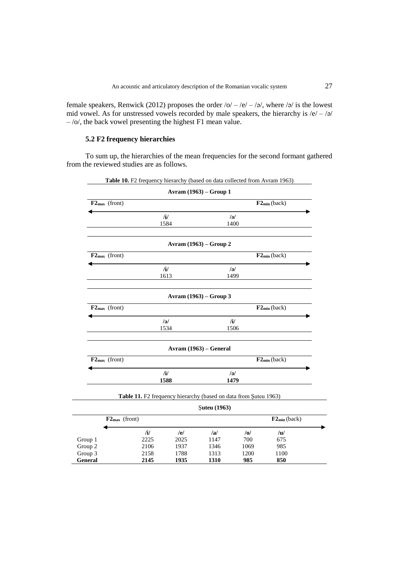female speakers, Renwick (2012) proposes the order  $\sqrt{\frac{Q}{2}}$  –  $\sqrt{\frac{Q}{Q}}$  –  $\sqrt{\frac{Q}{Q}}$  is the lowest mid vowel. As for unstressed vowels recorded by male speakers, the hierarchy is  $/e/-/$  $-$ /o/, the back vowel presenting the highest F1 mean value.

# **5.2 F2 frequency hierarchies**

To sum up, the hierarchies of the mean frequencies for the second formant gathered from the reviewed studies are as follows.

|                    |              | Table 10. F2 frequency hierarchy (based on data collected from Avram 1963) |                    |
|--------------------|--------------|----------------------------------------------------------------------------|--------------------|
|                    |              | Avram (1963) – Group 1                                                     |                    |
| $F2_{max}$ (front) |              |                                                                            | $F2_{min}$ (back)  |
|                    | /i/          | $\overline{\mathcal{U}}$                                                   |                    |
|                    | 1584         | 1400                                                                       |                    |
|                    |              | Avram (1963) – Group 2                                                     |                    |
| $F2_{max}$ (front) |              |                                                                            | $F2_{\min}$ (back) |
|                    | /i/          | $\overline{\mathcal{U}}$                                                   |                    |
|                    | 1613         | 1499                                                                       |                    |
|                    |              | Avram (1963) – Group 3                                                     |                    |
| $F2_{max}$ (front) |              |                                                                            | $F2_{\min}$ (back) |
|                    | $\sqrt{d}$   | $\mathbf{H}$                                                               |                    |
|                    | 1534         | 1506                                                                       |                    |
|                    |              | Avram (1963) – General                                                     |                    |
| $F2_{max}$ (front) |              |                                                                            | $F2_{min}$ (back)  |
|                    | $\mathbf{H}$ | $\frac{1}{d}$                                                              |                    |
|                    | 1588         | 1479                                                                       |                    |
|                    |              | Table 11. F2 frequency hierarchy (based on data from Şuteu 1963)           |                    |
|                    |              | <b>Suteu</b> (1963)                                                        |                    |
| $F2_{max}$ (front) |              |                                                                            | $F2_{min}$ (back)  |

|         | $F2_{\text{max}}$ (front) |      |      |      | $F2_{\min}$ (back) |
|---------|---------------------------|------|------|------|--------------------|
|         | /1/                       | /e/  | /a/  | /0/  | /u/                |
| Group 1 | 2225                      | 2025 | 1147 | 700  | 675                |
| Group 2 | 2106                      | 1937 | 1346 | 1069 | 985                |
| Group 3 | 2158                      | 1788 | 1313 | 1200 | 1100               |
| General | 2145                      | 1935 | 1310 | 985  | 850                |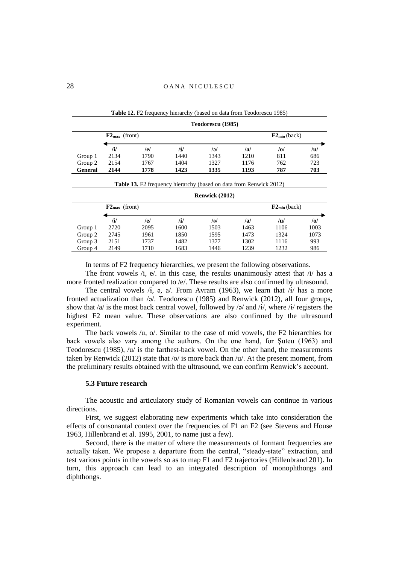|                | Teodorescu (1985)         |      |      |      |                   |     |     |  |
|----------------|---------------------------|------|------|------|-------------------|-----|-----|--|
|                | $F2_{\text{max}}$ (front) |      |      |      | $F2_{min}$ (back) |     |     |  |
|                | /i/                       | /e/  | /i/  | /ə/  | /a/               | /0/ | /u/ |  |
| Group 1        | 2134                      | 1790 | 1440 | 1343 | 1210              | 811 | 686 |  |
| Group 2        | 2154                      | 1767 | 1404 | 1327 | 1176              | 762 | 723 |  |
| <b>General</b> | 2144                      | 1778 | 1423 | 1335 | 1193              | 787 | 703 |  |

**Table 13.** F2 frequency hierarchy (based on data from Renwick 2012)

**Table 12.** F2 frequency hierarchy (based on data from Teodorescu 1985)

|         | Renwick (2012)            |      |      |      |                       |      |      |  |
|---------|---------------------------|------|------|------|-----------------------|------|------|--|
|         | $F2_{\text{max}}$ (front) |      |      |      | $F2_{\rm min}$ (back) |      |      |  |
|         | /i/                       | /e/  | ÏИ   | /ə/  | /a                    | /u/  | /o/  |  |
| Group 1 | 2720                      | 2095 | 1600 | 1503 | 1463                  | 1106 | 1003 |  |
| Group 2 | 2745                      | 1961 | 1850 | 1595 | 1473                  | 1324 | 1073 |  |
| Group 3 | 2151                      | 1737 | 1482 | 1377 | 1302                  | 1116 | 993  |  |
| Group 4 | 2149                      | 1710 | 1683 | 1446 | 1239                  | 1232 | 986  |  |

| In terms of F2 frequency hierarchies, we present the following observations. |  |
|------------------------------------------------------------------------------|--|
|------------------------------------------------------------------------------|--|

The front vowels /i, e/. In this case, the results unanimously attest that /i/ has a more fronted realization compared to /e/. These results are also confirmed by ultrasound.

The central vowels  $/$ **i**,  $\phi$ ,  $\alpha/$ . From Avram (1963), we learn that  $/$ **i** $/$  has a more fronted actualization than  $\sqrt{2}$ . Teodorescu (1985) and Renwick (2012), all four groups, show that /a/ is the most back central vowel, followed by /ə/ and /i/, where /i/ registers the highest F2 mean value. These observations are also confirmed by the ultrasound experiment.

The back vowels /u, o/. Similar to the case of mid vowels, the F2 hierarchies for back vowels also vary among the authors. On the one hand, for Şuteu (1963) and Teodorescu (1985),  $/u$  is the farthest-back vowel. On the other hand, the measurements taken by Renwick (2012) state that  $\sqrt{\frac{9}{15}}$  more back than  $\sqrt{\frac{1}{10}}$ . At the present moment, from the preliminary results obtained with the ultrasound, we can confirm Renwick's account.

#### **5.3 Future research**

The acoustic and articulatory study of Romanian vowels can continue in various directions.

First, we suggest elaborating new experiments which take into consideration the effects of consonantal context over the frequencies of F1 an F2 (see Stevens and House 1963, Hillenbrand et al. 1995, 2001, to name just a few).

Second, there is the matter of where the measurements of formant frequencies are actually taken. We propose a departure from the central, "steady-state" extraction, and test various points in the vowels so as to map F1 and F2 trajectories (Hillenbrand 201). In turn, this approach can lead to an integrated description of monophthongs and diphthongs.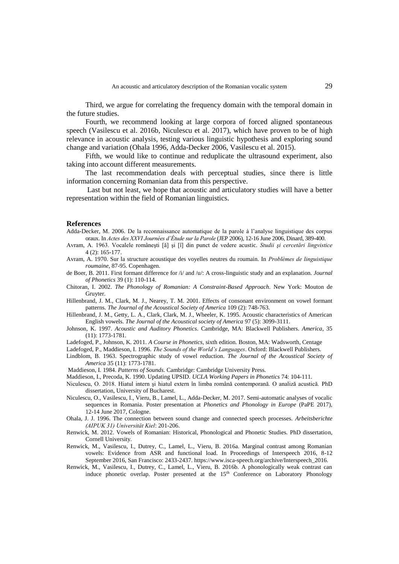Third, we argue for correlating the frequency domain with the temporal domain in the future studies.

Fourth, we recommend looking at large corpora of forced aligned spontaneous speech (Vasilescu et al. 2016b, Niculescu et al. 2017), which have proven to be of high relevance in acoustic analysis, testing various linguistic hypothesis and exploring sound change and variation (Ohala 1996, Adda-Decker 2006, Vasilescu et al. 2015).

Fifth, we would like to continue and reduplicate the ultrasound experiment, also taking into account different measurements.

The last recommendation deals with perceptual studies, since there is little information concerning Romanian data from this perspective.

Last but not least, we hope that acoustic and articulatory studies will have a better representation within the field of Romanian linguistics.

#### **References**

- Adda-Decker, M. 2006. De la reconnaissance automatique de la parole à l'analyse linguistique des corpus oraux. In *Actes des XXVI Journées d'Étude sur la Parole* (JEP 2006), 12-16 June 2006, Dinard, 389-400.
- Avram, A. 1963. Vocalele româneşti [ă] şi [î] din punct de vedere acustic. *Studii şi cercetări lingvistice*  4 (2): 165-177.
- Avram, A. 1970. Sur la structure acoustique des voyelles neutres du roumain. In *Problèmes de linguistique roumaine*, 87-95. Copenhagen.
- de Boer, B. 2011. First formant difference for /i/ and /u/: A cross-linguistic study and an explanation. *Journal of Phonetics* 39 (1): 110-114.
- Chitoran, I. 2002. *The Phonology of Romanian: A Constraint-Based Approach*. New York: Mouton de Gruyter.
- Hillenbrand, J. M., Clark, M. J., Nearey, T. M. 2001. Effects of consonant environment on vowel formant patterns. *The Journal of the Acoustical Society of America* 109 (2): 748-763.
- Hillenbrand, J. M., Getty, L. A., Clark, Clark, M. J., Wheeler, K. 1995. Acoustic characteristics of American English vowels. *The Journal of the Acoustical society of America* 97 (5): 3099-3111.
- Johnson, K. 1997. *Acoustic and Auditory Phonetics*. Cambridge, MA: Blackwell Publishers. *America*, 35 (11): 1773-1781.
- Ladefoged, P., Johnson, K. 2011. *A Course in Phonetics*, sixth edition. Boston, MA: Wadsworth, Centage
- Ladefoged, P., Maddieson, I. 1996. *The Sounds of the World's Languages*. Oxford: Blackwell Publishers.
- Lindblom, B. 1963. Spectrographic study of vowel reduction. *The Journal of the Acoustical Society of America* 35 (11): 1773-1781.
- Maddieson, I. 1984. *Patterns of Sounds*. Cambridge: Cambridge University Press.
- Maddieson, I., Precoda, K. 1990. Updating UPSID. *UCLA Working Papers in Phonetics* 74: 104-111.
- Niculescu, O. 2018. Hiatul intern şi hiatul extern în limba română contemporană. O analiză acustică. PhD dissertation, University of Bucharest.
- Niculescu, O., Vasilescu, I., Vieru, B., Lamel, L., Adda-Decker, M. 2017. Semi-automatic analyses of vocalic sequences in Romania. Poster presentation at *Phonetics and Phonology in Europe* (PaPE 2017), 12-14 June 2017, Cologne.
- Ohala, J. J. 1996. The connection between sound change and connected speech processes. *Arbeitsberichte (AIPUK 31) Universität Kiel*: 201-206.
- Renwick, M. 2012. Vowels of Romanian: Historical, Phonological and Phonetic Studies. PhD dissertation, Cornell University.
- Renwick, M., Vasilescu, I., Dutrey, C., Lamel, L., Vieru, B. 2016a. Marginal contrast among Romanian vowels: Evidence from ASR and functional load. In Proceedings of Interspeech 2016, 8-12 September 2016, San Francisco: 2433-2437. https://www.isca-speech.org/archive/Interspeech\_2016.
- Renwick, M., Vasilescu, I., Dutrey, C., Lamel, L., Vieru, B. 2016b. A phonologically weak contrast can induce phonetic overlap. Poster presented at the 15<sup>th</sup> Conference on Laboratory Phonology